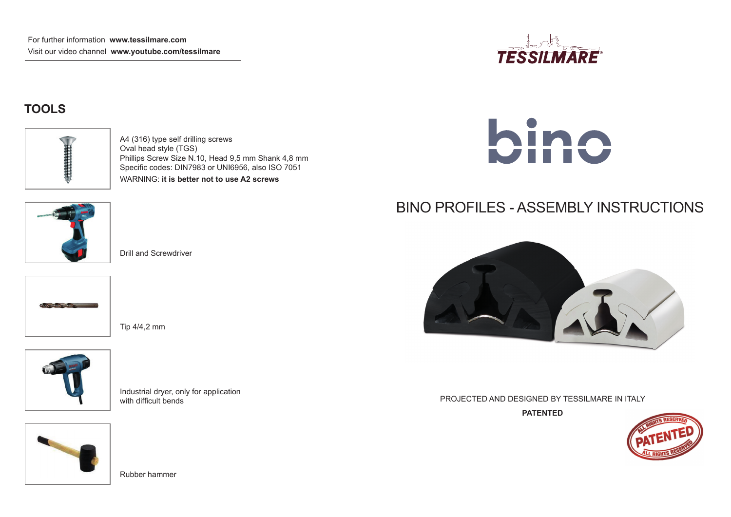

### **TOOLS**



A4 (316) type self drilling screws Oval head style (TGS) Phillips Screw Size N.10, Head 9,5 mm Shank 4,8 mm Specific codes: DIN7983 or UNI6956, also ISO 7051 WARNING: **it is better not to use A2 screws**



Drill and Screwdriver







Industrial dryer, only for application with difficult bends







# BINO PROFILES - ASSEMBLY INSTRUCTIONS



PROJECTED AND DESIGNED BY TESSILMARE IN ITALY

**PATENTED**